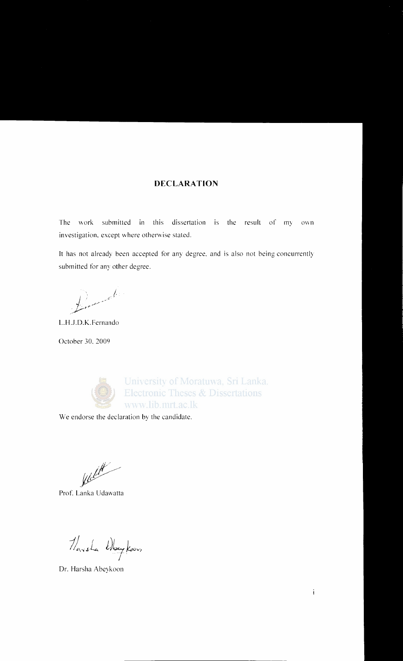#### **DECLARATION**

The work submitted in this dissertation is the result of *my* own investigation. except where otherwise stated.

It has not already been accepted for any degree, and is also not being concurrently submitted for any other degree.

I; //. //. //. 951 . ,r\_P'.--~

L.H.J.D.K. Fernando

October 30. 2009



University of Moratuwa, Sri Lanka. **Electronic Theses & Dissertations** www.lib.mrt.ac.lk

We endorse the declaration by the candidate.

/ 1/1 / 1/1

Prof. Lanka Udawatta

 $1/2$  l) by koon

Dr. Harsha Abeykoon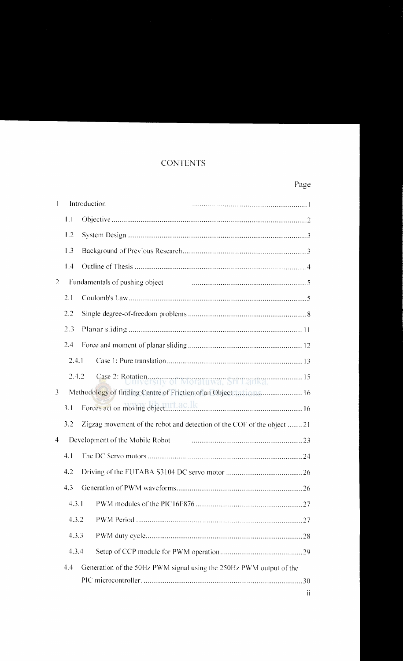## **CONTENTS**

## Page

| $\mathbf{I}$   |       | Introduction |                                                                        |
|----------------|-------|--------------|------------------------------------------------------------------------|
|                | 1.1   |              |                                                                        |
|                | 1.2   |              |                                                                        |
|                | 1.3   |              |                                                                        |
|                | 1.4   |              |                                                                        |
| 2              |       |              | Fundamentals of pushing object                                         |
|                | 2.1   |              |                                                                        |
|                | 2.2   |              |                                                                        |
|                | 2.3   |              |                                                                        |
|                | 2.4   |              |                                                                        |
|                | 2.4.1 |              |                                                                        |
|                | 2.4.2 |              |                                                                        |
| $\overline{3}$ |       |              | Methodology of finding Centre of Friction of an Object Lations 16      |
|                | 3.1   |              |                                                                        |
|                | 3.2   |              | Zigzag movement of the robot and detection of the COF of the object 21 |
| $\overline{4}$ |       |              | Development of the Mobile Robot                                        |
|                | 4.1   |              |                                                                        |
|                | 4.2   |              |                                                                        |
|                | 4.3   |              |                                                                        |
|                | 4.3.1 |              |                                                                        |
|                | 4.3.2 |              |                                                                        |
|                | 4.3.3 |              |                                                                        |
|                | 4.3.4 |              |                                                                        |
|                | 4.4   |              | Generation of the 50Hz PWM signal using the 250Hz PWM output of the    |
|                |       |              |                                                                        |
|                |       |              | ii                                                                     |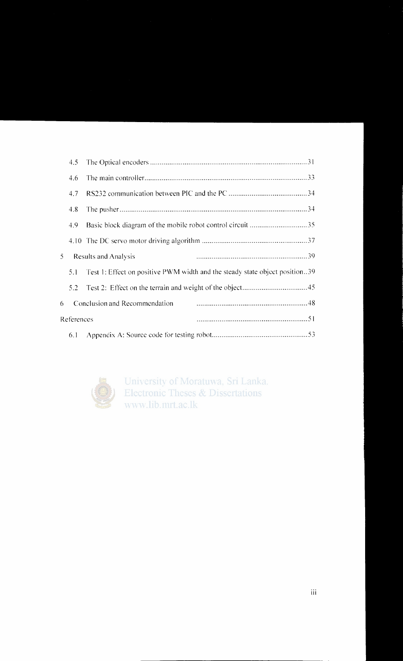|            | 4.5 |                                                                             |  |  |
|------------|-----|-----------------------------------------------------------------------------|--|--|
|            | 4.6 |                                                                             |  |  |
|            | 4.7 |                                                                             |  |  |
|            | 4.8 |                                                                             |  |  |
|            | 4.9 | Basic block diagram of the mobile robot control circuit 35                  |  |  |
|            |     |                                                                             |  |  |
| 5.         |     | Results and Analysis                                                        |  |  |
|            | 5.1 | Test 1: Effect on positive PWM width and the steady state object position39 |  |  |
|            | 5.2 |                                                                             |  |  |
| 6          |     | Conclusion and Recommendation                                               |  |  |
| References |     |                                                                             |  |  |
|            | 6.1 |                                                                             |  |  |



University of Moratuwa, Sri Lanka. Electronic Theses & Dissertations www.lib.mrt.ac.lk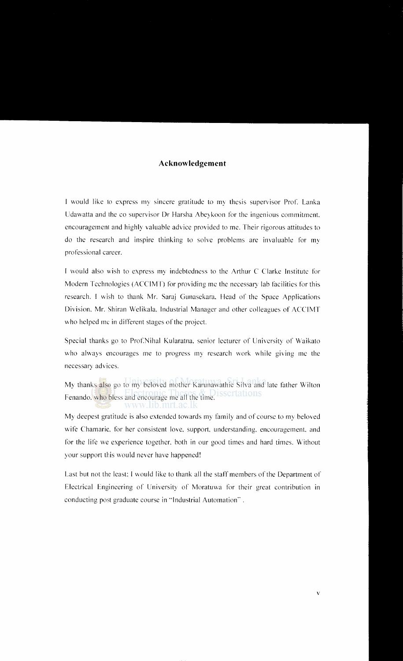### **Acknowledgement**

I would like to express my sincere gratitude to my thesis supervisor Prof. Lanka Udawatta and the co supervisor Dr Harsha Abeykoon for the ingenious commitment. encouragement and highly valuable advice provided to me. Their rigorous attitudes to do the research and inspire thinking to solve problems are invaluable for my professional career.

I would also wish to express my indebtedness to the Arthur C Clarke Institute for Modern Technologies (ACClMT) for providing me the necessary lab facilities for this research. I wish to thank Mr. Saraj Gunasekara. Head of the Space Applications Division. Mr. Shiran Welikala. Industrial Manager and other colleagues of ACCIMT who helped me in different stages of the project.

Special thanks go to Prof.Nihal Kularatna. senior lecturer of University of Waikato who always encourages me to progress my research work while giving me the necessary advices.

My thanks also go to my beloved mother Karunawathie Silva and late father Wilton Fenando. who bless and encourage me all the time.

My deepest gratitude is also extended towards my family and of course to my beloved wife Chamarie, for her consistent love, support, understanding, encouragement, and for the life we experience together. both in our good times and hard times. Without your support this would never have happened!

Last but not the least: I would like to thank all the staff members of the Department of Electrical Engineering of University of Moratuwa for their great contribution in conducting post graduate course in "'Industrial Automation".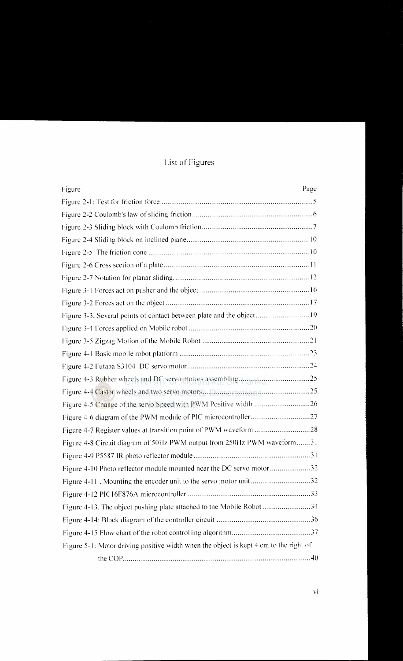# List of Figures

| Page<br>Figure                                                                        |
|---------------------------------------------------------------------------------------|
|                                                                                       |
|                                                                                       |
|                                                                                       |
|                                                                                       |
|                                                                                       |
|                                                                                       |
|                                                                                       |
|                                                                                       |
|                                                                                       |
| Figure 3-3. Several points of contact between plate and the object 19                 |
|                                                                                       |
|                                                                                       |
|                                                                                       |
|                                                                                       |
|                                                                                       |
|                                                                                       |
|                                                                                       |
|                                                                                       |
|                                                                                       |
| Figure 4-8 Circuit diagram of 50Hz PWM output from 250Hz PWM waveform31               |
|                                                                                       |
| Figure 4-10 Photo reflector module mounted near the DC servo motor32                  |
| Figure 4-11. Mounting the encoder unit to the servo motor unit32                      |
|                                                                                       |
| Figure 4-13. The object pushing plate attached to the Mobile Robot 34                 |
|                                                                                       |
|                                                                                       |
| Figure 5-1: Motor driving positive width when the object is kept 4 cm to the right of |
|                                                                                       |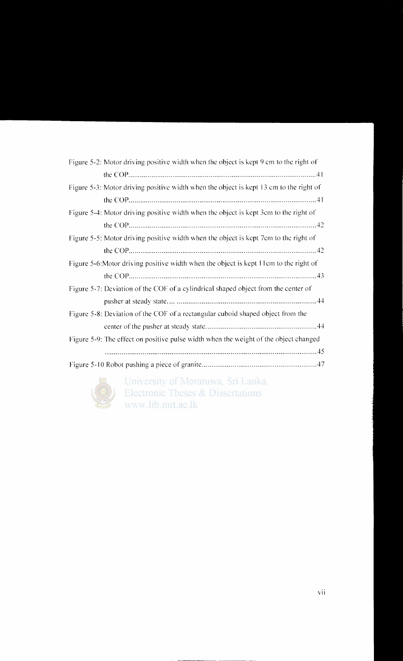| Figure 5-2: Motor driving positive width when the object is kept 9 cm to the right of  |
|----------------------------------------------------------------------------------------|
|                                                                                        |
| Figure 5-3: Motor driving positive width when the object is kept 13 cm to the right of |
|                                                                                        |
| Figure 5-4: Motor driving positive width when the object is kept 3cm to the right of   |
|                                                                                        |
| Figure 5-5: Motor driving positive width when the object is kept 7em to the right of   |
|                                                                                        |
| Figure 5-6: Motor driving positive width when the object is kept 11cm to the right of  |
|                                                                                        |
| Figure 5-7: Deviation of the COF of a cylindrical shaped object from the center of     |
|                                                                                        |
| Figure 5-8: Deviation of the COF of a rectangular cuboid shaped object from the        |
|                                                                                        |
| Figure 5-9: The effect on positive pulse width when the weight of the object changed   |
|                                                                                        |
|                                                                                        |



University of Moratuwa, Sri Lanka. **Electronic Theses & Dissertations** www.lib.mrt.ac.lk